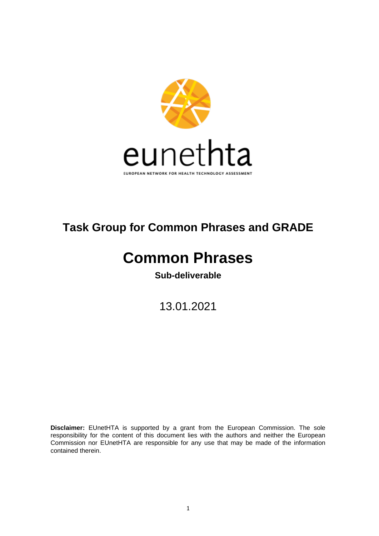

# **Task Group for Common Phrases and GRADE**

# **Common Phrases**

**Sub-deliverable**

13.01.2021

**Disclaimer:** EUnetHTA is supported by a grant from the European Commission. The sole responsibility for the content of this document lies with the authors and neither the European Commission nor EUnetHTA are responsible for any use that may be made of the information contained therein.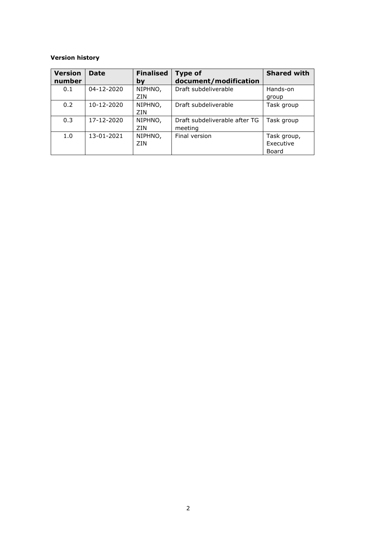#### **Version history**

| <b>Version</b><br>number | <b>Date</b> | <b>Finalised</b><br>bv | <b>Type of</b><br>document/modification  | <b>Shared with</b>                |
|--------------------------|-------------|------------------------|------------------------------------------|-----------------------------------|
| 0.1                      | 04-12-2020  | NIPHNO,<br>ZIN         | Draft subdeliverable                     | Hands-on<br>group                 |
| 0.2                      | 10-12-2020  | NIPHNO,<br>ZIN         | Draft subdeliverable                     | Task group                        |
| 0.3                      | 17-12-2020  | NIPHNO,<br>ZIN         | Draft subdeliverable after TG<br>meeting | Task group                        |
| 1.0                      | 13-01-2021  | NIPHNO,<br>ZIN         | Final version                            | Task group,<br>Executive<br>Board |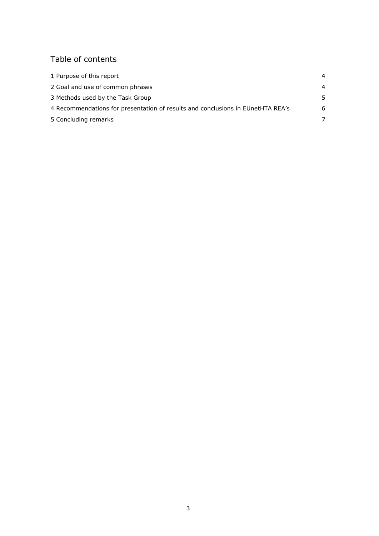# Table of contents

| 1 Purpose of this report                                                        | 4              |
|---------------------------------------------------------------------------------|----------------|
| 2 Goal and use of common phrases                                                | $\overline{4}$ |
| 3 Methods used by the Task Group                                                | .5             |
| 4 Recommendations for presentation of results and conclusions in EUnetHTA REA's | 6              |
| 5 Concluding remarks                                                            |                |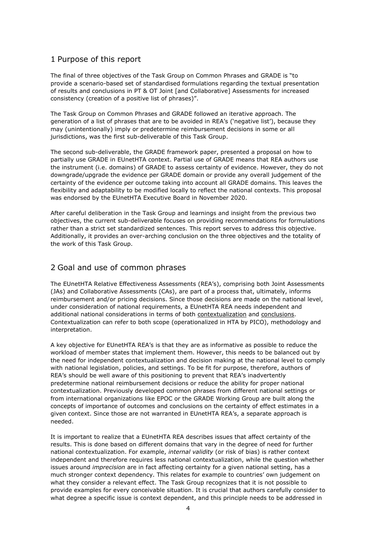#### <span id="page-3-0"></span>1 Purpose of this report

The final of three objectives of the Task Group on Common Phrases and GRADE is "to provide a scenario-based set of standardised formulations regarding the textual presentation of results and conclusions in PT & OT Joint [and Collaborative] Assessments for increased consistency (creation of a positive list of phrases)".

The Task Group on Common Phrases and GRADE followed an iterative approach. The generation of a list of phrases that are to be avoided in REA's ('negative list'), because they may (unintentionally) imply or predetermine reimbursement decisions in some or all jurisdictions, was the first sub-deliverable of this Task Group.

The second sub-deliverable, the GRADE framework paper, presented a proposal on how to partially use GRADE in EUnetHTA context. Partial use of GRADE means that REA authors use the instrument (i.e. domains) of GRADE to assess certainty of evidence. However, they do not downgrade/upgrade the evidence per GRADE domain or provide any overall judgement of the certainty of the evidence per outcome taking into account all GRADE domains. This leaves the flexibility and adaptability to be modified locally to reflect the national contexts. This proposal was endorsed by the EUnetHTA Executive Board in November 2020.

After careful deliberation in the Task Group and learnings and insight from the previous two objectives, the current sub-deliverable focuses on providing recommendations for formulations rather than a strict set standardized sentences. This report serves to address this objective. Additionally, it provides an over-arching conclusion on the three objectives and the totality of the work of this Task Group.

#### <span id="page-3-1"></span>2 Goal and use of common phrases

The EUnetHTA Relative Effectiveness Assessments (REA's), comprising both Joint Assessments (JAs) and Collaborative Assessments (CAs), are part of a process that, ultimately, informs reimbursement and/or pricing decisions. Since those decisions are made on the national level, under consideration of national requirements, a EUnetHTA REA needs independent and additional national considerations in terms of both contextualization and conclusions. Contextualization can refer to both scope (operationalized in HTA by PICO), methodology and interpretation.

A key objective for EUnetHTA REA's is that they are as informative as possible to reduce the workload of member states that implement them. However, this needs to be balanced out by the need for independent contextualization and decision making at the national level to comply with national legislation, policies, and settings. To be fit for purpose, therefore, authors of REA's should be well aware of this positioning to prevent that REA's inadvertently predetermine national reimbursement decisions or reduce the ability for proper national contextualization. Previously developed common phrases from different national settings or from international organizations like EPOC or the GRADE Working Group are built along the concepts of importance of outcomes and conclusions on the certainty of effect estimates in a given context. Since those are not warranted in EUnetHTA REA's, a separate approach is needed.

It is important to realize that a EUnetHTA REA describes issues that affect certainty of the results. This is done based on different domains that vary in the degree of need for further national contextualization. For example, *internal validity* (or risk of bias) is rather context independent and therefore requires less national contextualization, while the question whether issues around *imprecision* are in fact affecting certainty for a given national setting, has a much stronger context dependency. This relates for example to countries' own judgement on what they consider a relevant effect. The Task Group recognizes that it is not possible to provide examples for every conceivable situation. It is crucial that authors carefully consider to what degree a specific issue is context dependent, and this principle needs to be addressed in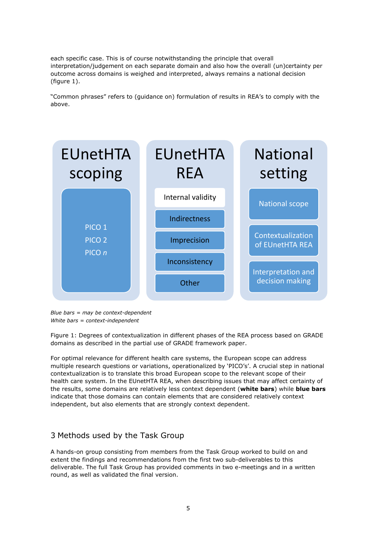each specific case. This is of course notwithstanding the principle that overall interpretation/judgement on each separate domain and also how the overall (un)certainty per outcome across domains is weighed and interpreted, always remains a national decision (figure 1).

"Common phrases" refers to (guidance on) formulation of results in REA's to comply with the above.



*Blue bars = may be context-dependent White bars = context-independent*

Figure 1: Degrees of contextualization in different phases of the REA process based on GRADE domains as described in the partial use of GRADE framework paper.

For optimal relevance for different health care systems, the European scope can address multiple research questions or variations, operationalized by 'PICO's'. A crucial step in national contextualization is to translate this broad European scope to the relevant scope of their health care system. In the EUnetHTA REA, when describing issues that may affect certainty of the results, some domains are relatively less context dependent (**white bars**) while **blue bars** indicate that those domains can contain elements that are considered relatively context independent, but also elements that are strongly context dependent.

### <span id="page-4-0"></span>3 Methods used by the Task Group

A hands-on group consisting from members from the Task Group worked to build on and extent the findings and recommendations from the first two sub-deliverables to this deliverable. The full Task Group has provided comments in two e-meetings and in a written round, as well as validated the final version.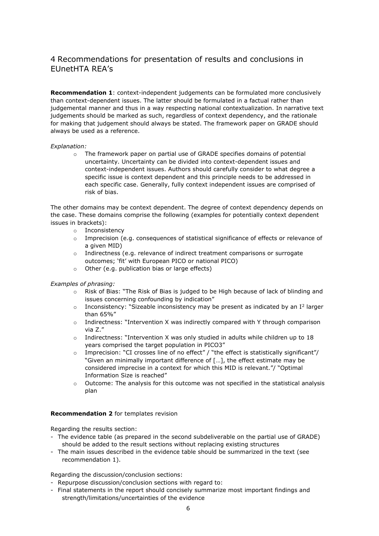## <span id="page-5-0"></span>4 Recommendations for presentation of results and conclusions in EUnetHTA REA's

**Recommendation 1**: context-independent judgements can be formulated more conclusively than context-dependent issues. The latter should be formulated in a factual rather than judgemental manner and thus in a way respecting national contextualization. In narrative text judgements should be marked as such, regardless of context dependency, and the rationale for making that judgement should always be stated. The framework paper on GRADE should always be used as a reference.

#### *Explanation:*

o The framework paper on partial use of GRADE specifies domains of potential uncertainty. Uncertainty can be divided into context-dependent issues and context-independent issues. Authors should carefully consider to what degree a specific issue is context dependent and this principle needs to be addressed in each specific case. Generally, fully context independent issues are comprised of risk of bias.

The other domains may be context dependent. The degree of context dependency depends on the case. These domains comprise the following (examples for potentially context dependent issues in brackets):

- o Inconsistency
- o Imprecision (e.g. consequences of statistical significance of effects or relevance of a given MID)
- o Indirectness (e.g. relevance of indirect treatment comparisons or surrogate outcomes; 'fit' with European PICO or national PICO)
- o Other (e.g. publication bias or large effects)

*Examples of phrasing:* 

- o Risk of Bias: "The Risk of Bias is judged to be High because of lack of blinding and issues concerning confounding by indication"
- $\circ$  Inconsistency: "Sizeable inconsistency may be present as indicated by an I<sup>2</sup> larger than 65%"
- $\circ$  Indirectness: "Intervention X was indirectly compared with Y through comparison via Z."
- o Indirectness: "Intervention X was only studied in adults while children up to 18 years comprised the target population in PICO3"
- o Imprecision: "CI crosses line of no effect" / "the effect is statistically significant"/ "Given an minimally important difference of […], the effect estimate may be considered imprecise in a context for which this MID is relevant."/ "Optimal Information Size is reached"
- o Outcome: The analysis for this outcome was not specified in the statistical analysis plan

#### **Recommendation 2** for templates revision

Regarding the results section:

- The evidence table (as prepared in the second subdeliverable on the partial use of GRADE) should be added to the result sections without replacing existing structures
- The main issues described in the evidence table should be summarized in the text (see recommendation 1).

Regarding the discussion/conclusion sections:

- Repurpose discussion/conclusion sections with regard to:
- Final statements in the report should concisely summarize most important findings and strength/limitations/uncertainties of the evidence